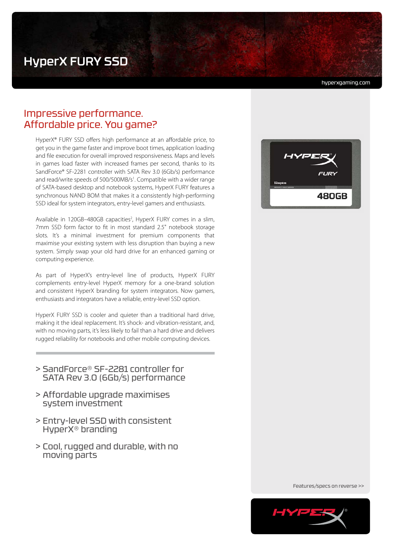# HyperX FURY SSD

hyperxgaming.com

## Impressive performance. Affordable price. You game?

HyperX® FURY SSD offers high performance at an affordable price, to get you in the game faster and improve boot times, application loading and file execution for overall improved responsiveness. Maps and levels in games load faster with increased frames per second, thanks to its SandForce® SF-2281 controller with SATA Rev 3.0 (6Gb/s) performance and read/write speeds of 500/500MB/s<sup>1</sup>. Compatible with a wider range of SATA-based desktop and notebook systems, HyperX FURY features a synchronous NAND BOM that makes it a consistently high-performing SSD ideal for system integrators, entry-level gamers and enthusiasts.

Available in 120GB-480GB capacities<sup>2</sup>, HyperX FURY comes in a slim, 7mm SSD form factor to fit in most standard 2.5" notebook storage slots. It's a minimal investment for premium components that maximise your existing system with less disruption than buying a new system. Simply swap your old hard drive for an enhanced gaming or computing experience.

As part of HyperX's entry-level line of products, HyperX FURY complements entry-level HyperX memory for a one-brand solution and consistent HyperX branding for system integrators. Now gamers, enthusiasts and integrators have a reliable, entry-level SSD option.

HyperX FURY SSD is cooler and quieter than a traditional hard drive, making it the ideal replacement. It's shock- and vibration-resistant, and, with no moving parts, it's less likely to fail than a hard drive and delivers rugged reliability for notebooks and other mobile computing devices.

- > SandForce® SF-2281 controller for SATA Rev 3.0 (6Gb/s) performance
- > Affordable upgrade maximises system investment
- > Entry-level SSD with consistent HyperX® branding
- > Cool, rugged and durable, with no moving parts



Features/specs on reverse >>